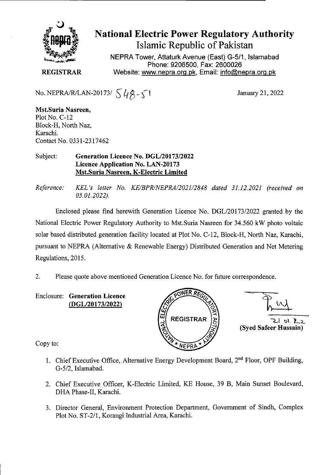

# National Electric Power Regulatory Authority Islamic Republic of Pakistan

**NEPRA Tower, Attaturk Avenue (East) G-511, Islamabad Phone: 9206500, Fax: 2600026 REGISTRAR Website: www.nepra.org.pk, Email: info@nepra.org.pk** 

No. NEPRA/R/LAN-20173/  $\sqrt{48} - 1$ 

January 21, 2022

**Mst.Suria Nasreen,**  Plot No. C-12 Block-H, North Naz, Karachi. Contact No. 0331-2317462

#### Subject: **Generation Licence No. DGL/20173/2022 Licence Application No.** LAN-20173 **Mst.Suria Nasreen, K-Electric Limited**

*Reference: KEL 's letter No. KE/BPR/NEPRA/2021/2848 dated 31.12.2021 (received on 05.01.2022).* 

Enclosed please find herewith Generation Licence No. DGL/20173/2022 granted by the National Electric Power Regulatory Authority to Mst.Suria Nasreen for 34.560 kW photo voltaic solar based distributed generation facility located at Plot No. C-12, Block-H, North Naz, Karachi, pursuant to NEPRA (Alternative & Renewable Energy) Distributed Generation and Net Metering Regulations, 2015.

2. Please quote above mentioned Generation Licence No. for future correspondence.

Enclosure: **Generation Licence**  (DGL/20173/2022)





**(Syed Safeer Hussain)** 

Copy to:

- 1. Chief Executive Office, Alternative Energy Development Board,  $2<sup>nd</sup>$  Floor, OPF Building, *G-5/2,* Islamabad.
- 2. Chief Executive Officer, K-Electric Limited, KE House, 39 B, Main Sunset Boulevard, DHA Phase-II, Karachi.
- 3. Director General, Environment Protection Department, Government of Sindh, Complex Plot No. ST-2/1, Korangi Industrial Area, Karachi.